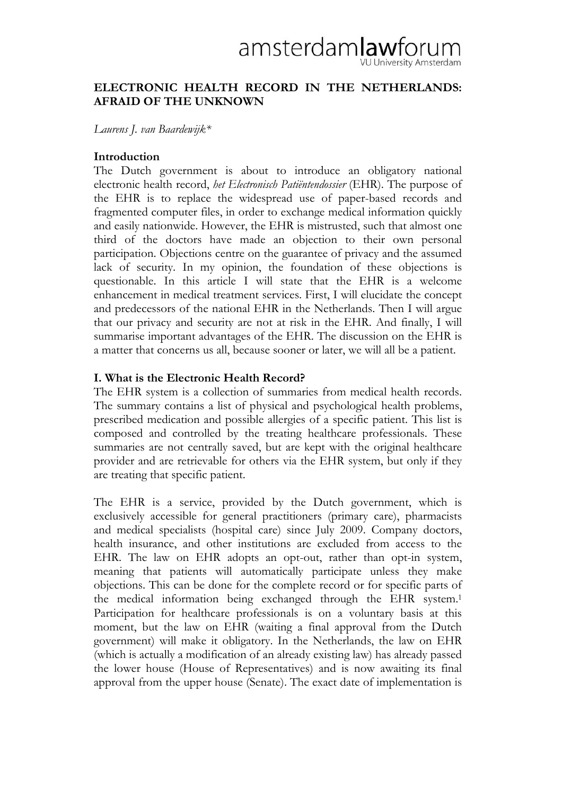# amsterdamlawforum U University Amsterdam

## **ELECTRONIC HEALTH RECORD IN THE NETHERLANDS: AFRAID OF THE UNKNOWN**

*Laurens J. van Baardewijk\** 

# **Introduction**

The Dutch government is about to introduce an obligatory national electronic health record, *het Electronisch Patiëntendossier* (EHR). The purpose of the EHR is to replace the widespread use of paper-based records and fragmented computer files, in order to exchange medical information quickly and easily nationwide. However, the EHR is mistrusted, such that almost one third of the doctors have made an objection to their own personal participation. Objections centre on the guarantee of privacy and the assumed lack of security. In my opinion, the foundation of these objections is questionable. In this article I will state that the EHR is a welcome enhancement in medical treatment services. First, I will elucidate the concept and predecessors of the national EHR in the Netherlands. Then I will argue that our privacy and security are not at risk in the EHR. And finally, I will summarise important advantages of the EHR. The discussion on the EHR is a matter that concerns us all, because sooner or later, we will all be a patient.

# **I. What is the Electronic Health Record?**

The EHR system is a collection of summaries from medical health records. The summary contains a list of physical and psychological health problems, prescribed medication and possible allergies of a specific patient. This list is composed and controlled by the treating healthcare professionals. These summaries are not centrally saved, but are kept with the original healthcare provider and are retrievable for others via the EHR system, but only if they are treating that specific patient.

The EHR is a service, provided by the Dutch government, which is exclusively accessible for general practitioners (primary care), pharmacists and medical specialists (hospital care) since July 2009. Company doctors, health insurance, and other institutions are excluded from access to the EHR. The law on EHR adopts an opt-out, rather than opt-in system, meaning that patients will automatically participate unless they make objections. This can be done for the complete record or for specific parts of the medical information being exchanged through the EHR system.1 Participation for healthcare professionals is on a voluntary basis at this moment, but the law on EHR (waiting a final approval from the Dutch government) will make it obligatory. In the Netherlands, the law on EHR (which is actually a modification of an already existing law) has already passed the lower house (House of Representatives) and is now awaiting its final approval from the upper house (Senate). The exact date of implementation is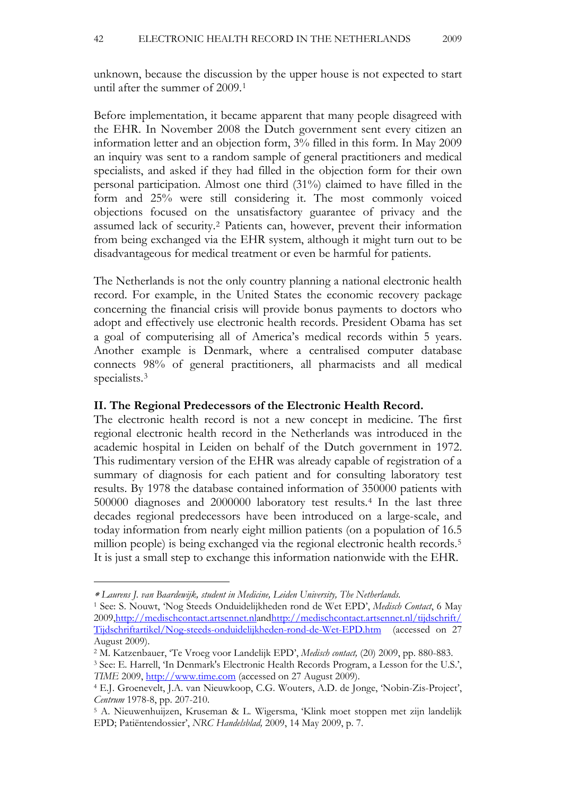unknown, because the discussion by the upper house is not expected to start until after the summer of 2009.[1](#page-1-0)

Before implementation, it became apparent that many people disagreed with the EHR. In November 2008 the Dutch government sent every citizen an information letter and an objection form, 3% filled in this form. In May 2009 an inquiry was sent to a random sample of general practitioners and medical specialists, and asked if they had filled in the objection form for their own personal participation. Almost one third (31%) claimed to have filled in the form and 25% were still considering it. The most commonly voiced objections focused on the unsatisfactory guarantee of privacy and the assumed lack of security.[2](#page-1-1) Patients can, however, prevent their information from being exchanged via the EHR system, although it might turn out to be disadvantageous for medical treatment or even be harmful for patients.

The Netherlands is not the only country planning a national electronic health record. For example, in the United States the economic recovery package concerning the financial crisis will provide bonus payments to doctors who adopt and effectively use electronic health records. President Obama has set a goal of computerising all of America's medical records within 5 years. Another example is Denmark, where a centralised computer database connects 98% of general practitioners, all pharmacists and all medical specialists.[3](#page-1-2)

#### **II. The Regional Predecessors of the Electronic Health Record.**

The electronic health record is not a new concept in medicine. The first regional electronic health record in the Netherlands was introduced in the academic hospital in Leiden on behalf of the Dutch government in 1972. This rudimentary version of the EHR was already capable of registration of a summary of diagnosis for each patient and for consulting laboratory test results. By 1978 the database contained information of 350000 patients with 500000 diagnoses and 2000000 laboratory test results.[4](#page-1-3) In the last three decades regional predecessors have been introduced on a large-scale, and today information from nearly eight million patients (on a population of 16.5 million people) is being exchanged via the regional electronic health records.<sup>[5](#page-1-4)</sup> It is just a small step to exchange this information nationwide with the EHR.

 $\overline{a}$ 

*TIME* 2009, [http://www.time.com](http://www.time.com/) (accessed on 27 August 2009).

<span id="page-1-0"></span><sup>∗</sup> *Laurens J. van Baardewijk, student in Medicine, Leiden University, The Netherlands.* 

<sup>1</sup> See: S. Nouwt, 'Nog Steeds Onduidelijkheden rond de Wet EPD', *Medisch Contact*, 6 May 2009[,http://medischcontact.artsennet.nla](http://medischcontact.artsennet.nl/)n[dhttp://medischcontact.artsennet.nl/tijdschrift/](http://medischcontact.artsennet.nl/tijdschrift/Tijdschriftartikel/Nog-steeds-onduidelijkheden-rond-de-Wet-EPD.htm) [Tijdschriftartikel/Nog-steeds-onduidelijkheden-rond-de-Wet-EPD.htm](http://medischcontact.artsennet.nl/tijdschrift/Tijdschriftartikel/Nog-steeds-onduidelijkheden-rond-de-Wet-EPD.htm) (accessed on 27 August 2009).

<span id="page-1-2"></span><span id="page-1-1"></span><sup>2</sup> M. Katzenbauer, 'Te Vroeg voor Landelijk EPD', *Medisch contact,* (20) 2009, pp. 880-883. 3 See: E. Harrell, 'In Denmark's Electronic Health Records Program, a Lesson for the U.S.',

<span id="page-1-3"></span><sup>4</sup> E.J. Groenevelt, J.A. van Nieuwkoop, C.G. Wouters, A.D. de Jonge, 'Nobin-Zis-Project', *Centrum* 1978-8, pp. 207-210.

<span id="page-1-4"></span><sup>5</sup> A. Nieuwenhuijzen, Kruseman & L. Wigersma, 'Klink moet stoppen met zijn landelijk EPD; Patiëntendossier', *NRC Handelsblad,* 2009, 14 May 2009, p. 7.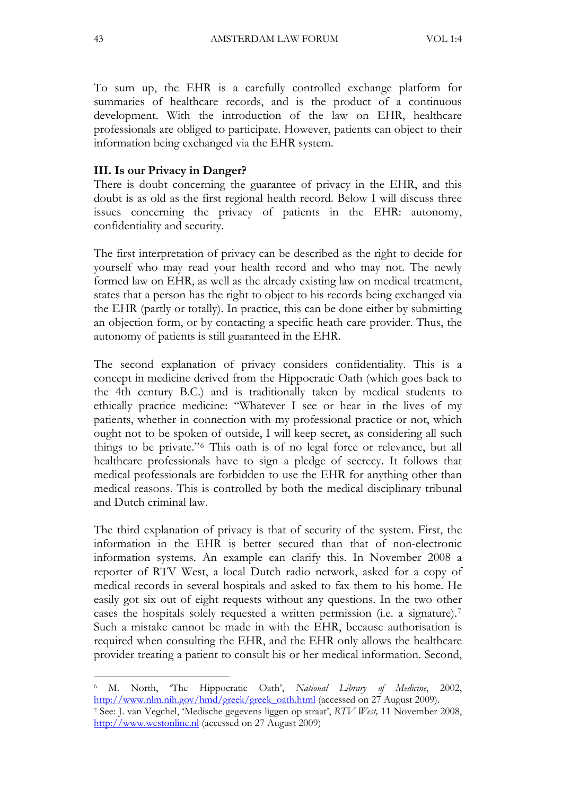To sum up, the EHR is a carefully controlled exchange platform for summaries of healthcare records, and is the product of a continuous development. With the introduction of the law on EHR, healthcare professionals are obliged to participate. However, patients can object to their information being exchanged via the EHR system.

## **III. Is our Privacy in Danger?**

There is doubt concerning the guarantee of privacy in the EHR, and this doubt is as old as the first regional health record. Below I will discuss three issues concerning the privacy of patients in the EHR: autonomy, confidentiality and security.

The first interpretation of privacy can be described as the right to decide for yourself who may read your health record and who may not. The newly formed law on EHR, as well as the already existing law on medical treatment, states that a person has the right to object to his records being exchanged via the EHR (partly or totally). In practice, this can be done either by submitting an objection form, or by contacting a specific heath care provider. Thus, the autonomy of patients is still guaranteed in the EHR.

The second explanation of privacy considers confidentiality. This is a concept in medicine derived from the Hippocratic Oath (which goes back to the 4th century B.C.) and is traditionally taken by medical students to ethically practice medicine: "Whatever I see or hear in the lives of my patients, whether in connection with my professional practice or not, which ought not to be spoken of outside, I will keep secret, as considering all such things to be private."[6](#page-2-0) This oath is of no legal force or relevance, but all healthcare professionals have to sign a pledge of secrecy. It follows that medical professionals are forbidden to use the EHR for anything other than medical reasons. This is controlled by both the medical disciplinary tribunal and Dutch criminal law.

The third explanation of privacy is that of security of the system. First, the information in the EHR is better secured than that of non-electronic information systems. An example can clarify this. In November 2008 a reporter of RTV West, a local Dutch radio network, asked for a copy of medical records in several hospitals and asked to fax them to his home. He easily got six out of eight requests without any questions. In the two other cases the hospitals solely requested a written permission (i.e. a signature).[7](#page-2-1) Such a mistake cannot be made in with the EHR, because authorisation is required when consulting the EHR, and the EHR only allows the healthcare provider treating a patient to consult his or her medical information. Second,

 $\overline{a}$ 

<span id="page-2-0"></span><sup>6</sup> M. North, 'The Hippocratic Oath', *National Library of Medicine*, 2002, [http://www.nlm.nih.gov/hmd/greek/greek\\_oath.html](http://www.nlm.nih.gov/hmd/greek/greek_oath.html) (accessed on 27 August 2009). 7 See: J. van Vegchel, 'Medische gegevens liggen op straat', *RTV West,* 11 November 2008,

<span id="page-2-1"></span>[http://www.westonline.nl](http://www.westonline.nl/) (accessed on 27 August 2009)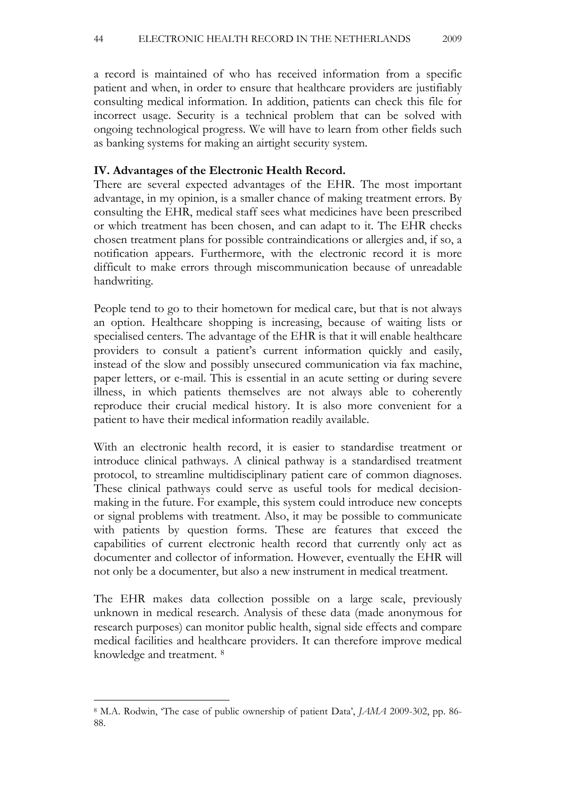a record is maintained of who has received information from a specific patient and when, in order to ensure that healthcare providers are justifiably consulting medical information. In addition, patients can check this file for incorrect usage. Security is a technical problem that can be solved with ongoing technological progress. We will have to learn from other fields such as banking systems for making an airtight security system.

## **IV. Advantages of the Electronic Health Record.**

There are several expected advantages of the EHR. The most important advantage, in my opinion, is a smaller chance of making treatment errors. By consulting the EHR, medical staff sees what medicines have been prescribed or which treatment has been chosen, and can adapt to it. The EHR checks chosen treatment plans for possible contraindications or allergies and, if so, a notification appears. Furthermore, with the electronic record it is more difficult to make errors through miscommunication because of unreadable handwriting.

People tend to go to their hometown for medical care, but that is not always an option. Healthcare shopping is increasing, because of waiting lists or specialised centers. The advantage of the EHR is that it will enable healthcare providers to consult a patient's current information quickly and easily, instead of the slow and possibly unsecured communication via fax machine, paper letters, or e-mail. This is essential in an acute setting or during severe illness, in which patients themselves are not always able to coherently reproduce their crucial medical history. It is also more convenient for a patient to have their medical information readily available.

With an electronic health record, it is easier to standardise treatment or introduce clinical pathways. A clinical pathway is a standardised treatment protocol, to streamline multidisciplinary patient care of common diagnoses. These clinical pathways could serve as useful tools for medical decisionmaking in the future. For example, this system could introduce new concepts or signal problems with treatment. Also, it may be possible to communicate with patients by question forms. These are features that exceed the capabilities of current electronic health record that currently only act as documenter and collector of information. However, eventually the EHR will not only be a documenter, but also a new instrument in medical treatment.

The EHR makes data collection possible on a large scale, previously unknown in medical research. Analysis of these data (made anonymous for research purposes) can monitor public health, signal side effects and compare medical facilities and healthcare providers. It can therefore improve medical knowledge and treatment. [8](#page-3-0)

<span id="page-3-0"></span> $\overline{a}$ 8 M.A. Rodwin, 'The case of public ownership of patient Data', *JAMA* 2009-302, pp. 86- 88.